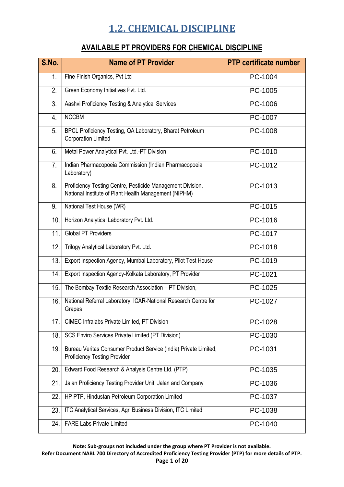#### **AVAILABLE PT PROVIDERS FOR CHEMICAL DISCIPLINE**

| S.No.          | <b>Name of PT Provider</b>                                                                                          | <b>PTP certificate number</b> |
|----------------|---------------------------------------------------------------------------------------------------------------------|-------------------------------|
| 1.             | Fine Finish Organics, Pvt Ltd                                                                                       | PC-1004                       |
| 2.             | Green Economy Initiatives Pvt. Ltd.                                                                                 | PC-1005                       |
| 3 <sub>1</sub> | Aashvi Proficiency Testing & Analytical Services                                                                    | PC-1006                       |
| 4.             | <b>NCCBM</b>                                                                                                        | PC-1007                       |
| 5.             | BPCL Proficiency Testing, QA Laboratory, Bharat Petroleum<br><b>Corporation Limited</b>                             | PC-1008                       |
| 6.             | Metal Power Analytical Pvt. Ltd.-PT Division                                                                        | PC-1010                       |
| 7.             | Indian Pharmacopoeia Commission (Indian Pharmacopoeia<br>Laboratory)                                                | PC-1012                       |
| 8.             | Proficiency Testing Centre, Pesticide Management Division,<br>National Institute of Plant Health Management (NIPHM) | PC-1013                       |
| 9.             | National Test House (WR)                                                                                            | PC-1015                       |
| 10.            | Horizon Analytical Laboratory Pvt. Ltd.                                                                             | PC-1016                       |
| 11.            | <b>Global PT Providers</b>                                                                                          | PC-1017                       |
| 12.            | Trilogy Analytical Laboratory Pvt. Ltd.                                                                             | PC-1018                       |
| 13.            | Export Inspection Agency, Mumbai Laboratory, Pilot Test House                                                       | PC-1019                       |
| 14.            | Export Inspection Agency-Kolkata Laboratory, PT Provider                                                            | PC-1021                       |
| 15.            | The Bombay Textile Research Association - PT Division,                                                              | PC-1025                       |
| 16.            | National Referral Laboratory, ICAR-National Research Centre for<br>Grapes                                           | PC-1027                       |
| 17.            | <b>CIMEC Infralabs Private Limited, PT Division</b>                                                                 | PC-1028                       |
| 18.            | SCS Enviro Services Private Limited (PT Division)                                                                   | PC-1030                       |
| 19.            | Bureau Veritas Consumer Product Service (India) Private Limited,<br><b>Proficiency Testing Provider</b>             | PC-1031                       |
| 20.            | Edward Food Research & Analysis Centre Ltd. (PTP)                                                                   | PC-1035                       |
| 21.            | Jalan Proficiency Testing Provider Unit, Jalan and Company                                                          | PC-1036                       |
| 22.            | HP PTP, Hindustan Petroleum Corporation Limited                                                                     | PC-1037                       |
| 23.            | ITC Analytical Services, Agri Business Division, ITC Limited                                                        | PC-1038                       |
| 24.            | <b>FARE Labs Private Limited</b>                                                                                    | PC-1040                       |

**Note: Sub-groups not included under the group where PT Provider is not available.**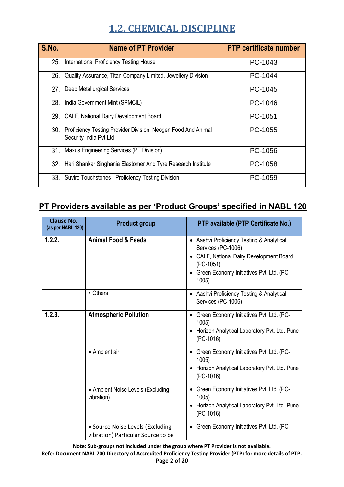| S.No. | <b>Name of PT Provider</b>                                                              | <b>PTP certificate number</b> |
|-------|-----------------------------------------------------------------------------------------|-------------------------------|
| 25.   | International Proficiency Testing House                                                 | PC-1043                       |
| 26.   | Quality Assurance, Titan Company Limited, Jewellery Division                            | PC-1044                       |
| 27.   | Deep Metallurgical Services                                                             | PC-1045                       |
| 28.   | India Government Mint (SPMCIL)                                                          | PC-1046                       |
| 29.   | CALF, National Dairy Development Board                                                  | PC-1051                       |
| 30.   | Proficiency Testing Provider Division, Neogen Food And Animal<br>Security India Pvt Ltd | PC-1055                       |
| 31.   | Maxus Engineering Services (PT Division)                                                | PC-1056                       |
| 32.   | Hari Shankar Singhania Elastomer And Tyre Research Institute                            | PC-1058                       |
| 33.   | Suviro Touchstones - Proficiency Testing Division                                       | PC-1059                       |

#### **PT Providers available as per 'Product Groups' specified in NABL 120**

| <b>Clause No.</b><br>(as per NABL 120) | <b>Product group</b>                                                   | PTP available (PTP Certificate No.)                                                                                                                                          |
|----------------------------------------|------------------------------------------------------------------------|------------------------------------------------------------------------------------------------------------------------------------------------------------------------------|
| 1.2.2.                                 | <b>Animal Food &amp; Feeds</b>                                         | • Aashvi Proficiency Testing & Analytical<br>Services (PC-1006)<br>CALF, National Dairy Development Board<br>(PC-1051)<br>• Green Economy Initiatives Pvt. Ltd. (PC-<br>1005 |
|                                        | • Others                                                               | • Aashvi Proficiency Testing & Analytical<br>Services (PC-1006)                                                                                                              |
| 1.2.3.                                 | <b>Atmospheric Pollution</b>                                           | • Green Economy Initiatives Pvt. Ltd. (PC-<br>1005<br>• Horizon Analytical Laboratory Pvt. Ltd. Pune<br>$(PC-1016)$                                                          |
|                                        | • Ambient air                                                          | • Green Economy Initiatives Pvt. Ltd. (PC-<br>1005<br>Horizon Analytical Laboratory Pvt. Ltd. Pune<br>$(PC-1016)$                                                            |
|                                        | • Ambient Noise Levels (Excluding<br>vibration)                        | • Green Economy Initiatives Pvt. Ltd. (PC-<br>1005<br>Horizon Analytical Laboratory Pvt. Ltd. Pune<br>$(PC-1016)$                                                            |
|                                        | • Source Noise Levels (Excluding<br>vibration) Particular Source to be | • Green Economy Initiatives Pvt. Ltd. (PC-                                                                                                                                   |

**Note: Sub-groups not included under the group where PT Provider is not available.**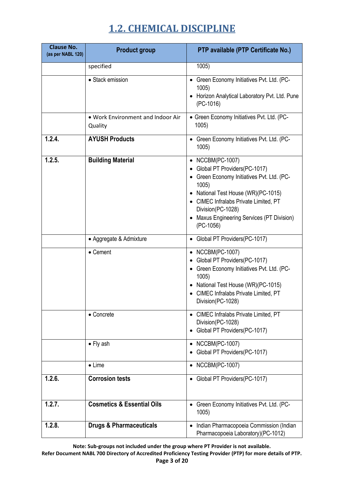| <b>Clause No.</b><br>(as per NABL 120) | <b>Product group</b>                         | PTP available (PTP Certificate No.)                                                                                                                                                                                                                                       |
|----------------------------------------|----------------------------------------------|---------------------------------------------------------------------------------------------------------------------------------------------------------------------------------------------------------------------------------------------------------------------------|
|                                        | specified                                    | 1005)                                                                                                                                                                                                                                                                     |
|                                        | • Stack emission                             | • Green Economy Initiatives Pvt. Ltd. (PC-<br>1005)<br>Horizon Analytical Laboratory Pvt. Ltd. Pune<br>$(PC-1016)$                                                                                                                                                        |
|                                        | . Work Environment and Indoor Air<br>Quality | • Green Economy Initiatives Pvt. Ltd. (PC-<br>1005)                                                                                                                                                                                                                       |
| 1.2.4.                                 | <b>AYUSH Products</b>                        | • Green Economy Initiatives Pvt. Ltd. (PC-<br>1005)                                                                                                                                                                                                                       |
| 1.2.5.                                 | <b>Building Material</b>                     | • NCCBM(PC-1007)<br>Global PT Providers(PC-1017)<br>Green Economy Initiatives Pvt. Ltd. (PC-<br>1005<br>National Test House (WR)(PC-1015)<br>• CIMEC Infralabs Private Limited, PT<br>Division(PC-1028)<br><b>Maxus Engineering Services (PT Division)</b><br>$(PC-1056)$ |
|                                        | • Aggregate & Admixture                      | Global PT Providers(PC-1017)<br>$\bullet$                                                                                                                                                                                                                                 |
|                                        | • Cement                                     | • NCCBM(PC-1007)<br>• Global PT Providers(PC-1017)<br>Green Economy Initiatives Pvt. Ltd. (PC-<br>1005)<br>• National Test House (WR)(PC-1015)<br>CIMEC Infralabs Private Limited, PT<br>Division(PC-1028)                                                                |
|                                        | • Concrete                                   | • CIMEC Infralabs Private Limited, PT<br>Division(PC-1028)<br>Global PT Providers(PC-1017)                                                                                                                                                                                |
|                                        | $\bullet$ Fly ash                            | • NCCBM(PC-1007)<br>Global PT Providers(PC-1017)                                                                                                                                                                                                                          |
|                                        | $\bullet$ Lime                               | • NCCBM(PC-1007)                                                                                                                                                                                                                                                          |
| 1.2.6.                                 | <b>Corrosion tests</b>                       | • Global PT Providers(PC-1017)                                                                                                                                                                                                                                            |
| 1.2.7.                                 | <b>Cosmetics &amp; Essential Oils</b>        | Green Economy Initiatives Pvt. Ltd. (PC-<br>1005)                                                                                                                                                                                                                         |
| 1.2.8.                                 | <b>Drugs &amp; Pharmaceuticals</b>           | Indian Pharmacopoeia Commission (Indian<br>Pharmacopoeia Laboratory)(PC-1012)                                                                                                                                                                                             |

**Note: Sub-groups not included under the group where PT Provider is not available.**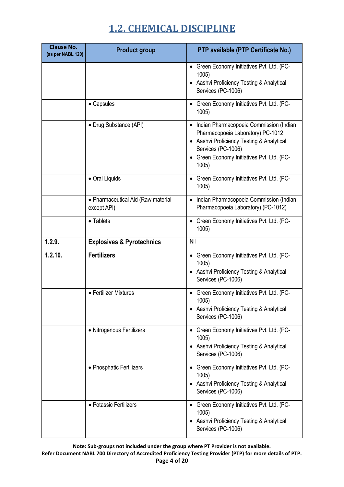| <b>Clause No.</b><br>(as per NABL 120) | <b>Product group</b>                              | PTP available (PTP Certificate No.)                                                                                                                                                                    |
|----------------------------------------|---------------------------------------------------|--------------------------------------------------------------------------------------------------------------------------------------------------------------------------------------------------------|
|                                        |                                                   | • Green Economy Initiatives Pvt. Ltd. (PC-<br>1005)<br>Aashvi Proficiency Testing & Analytical<br>Services (PC-1006)                                                                                   |
|                                        | • Capsules                                        | • Green Economy Initiatives Pvt. Ltd. (PC-<br>1005)                                                                                                                                                    |
|                                        | • Drug Substance (API)                            | • Indian Pharmacopoeia Commission (Indian<br>Pharmacopoeia Laboratory) PC-1012<br>• Aashvi Proficiency Testing & Analytical<br>Services (PC-1006)<br>Green Economy Initiatives Pvt. Ltd. (PC-<br>1005) |
|                                        | • Oral Liquids                                    | Green Economy Initiatives Pvt. Ltd. (PC-<br>1005                                                                                                                                                       |
|                                        | • Pharmaceutical Aid (Raw material<br>except API) | Indian Pharmacopoeia Commission (Indian<br>$\bullet$<br>Pharmacopoeia Laboratory) (PC-1012)                                                                                                            |
|                                        | • Tablets                                         | Green Economy Initiatives Pvt. Ltd. (PC-<br>1005                                                                                                                                                       |
| 1.2.9.                                 | <b>Explosives &amp; Pyrotechnics</b>              | Nil                                                                                                                                                                                                    |
| 1.2.10.                                | <b>Fertilizers</b>                                | • Green Economy Initiatives Pvt. Ltd. (PC-<br>1005)<br>• Aashvi Proficiency Testing & Analytical<br>Services (PC-1006)                                                                                 |
|                                        | • Fertilizer Mixtures                             | • Green Economy Initiatives Pvt. Ltd. (PC-<br>1005<br>• Aashvi Proficiency Testing & Analytical<br>Services (PC-1006)                                                                                  |
|                                        | • Nitrogenous Fertilizers                         | • Green Economy Initiatives Pvt. Ltd. (PC-<br>1005)<br>Aashvi Proficiency Testing & Analytical<br>Services (PC-1006)                                                                                   |
|                                        | • Phosphatic Fertilizers                          | • Green Economy Initiatives Pvt. Ltd. (PC-<br>1005)<br>Aashvi Proficiency Testing & Analytical<br>Services (PC-1006)                                                                                   |
|                                        | • Potassic Fertilizers                            | Green Economy Initiatives Pvt. Ltd. (PC-<br>1005)<br>Aashvi Proficiency Testing & Analytical<br>Services (PC-1006)                                                                                     |

**Note: Sub-groups not included under the group where PT Provider is not available. Refer Document NABL 700 Directory of Accredited Proficiency Testing Provider (PTP) for more details of PTP. Page 4 of 20**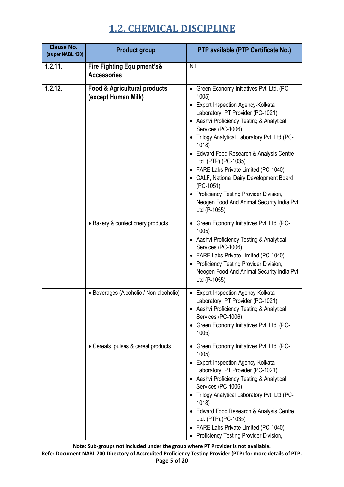| <b>Clause No.</b><br>(as per NABL 120) | <b>Product group</b>                                           | PTP available (PTP Certificate No.)                                                                                                                                                                                                                                                                                                                                                                                                                                                                                                      |
|----------------------------------------|----------------------------------------------------------------|------------------------------------------------------------------------------------------------------------------------------------------------------------------------------------------------------------------------------------------------------------------------------------------------------------------------------------------------------------------------------------------------------------------------------------------------------------------------------------------------------------------------------------------|
| 1.2.11.                                | <b>Fire Fighting Equipment's&amp;</b><br><b>Accessories</b>    | Nil                                                                                                                                                                                                                                                                                                                                                                                                                                                                                                                                      |
| 1.2.12.                                | <b>Food &amp; Agricultural products</b><br>(except Human Milk) | • Green Economy Initiatives Pvt. Ltd. (PC-<br>1005)<br>• Export Inspection Agency-Kolkata<br>Laboratory, PT Provider (PC-1021)<br>• Aashvi Proficiency Testing & Analytical<br>Services (PC-1006)<br>Trilogy Analytical Laboratory Pvt. Ltd. (PC-<br>1018)<br>• Edward Food Research & Analysis Centre<br>Ltd. (PTP), (PC-1035)<br>• FARE Labs Private Limited (PC-1040)<br>CALF, National Dairy Development Board<br>(PC-1051)<br>• Proficiency Testing Provider Division,<br>Neogen Food And Animal Security India Pvt<br>Ltd (P-1055) |
|                                        | • Bakery & confectionery products                              | • Green Economy Initiatives Pvt. Ltd. (PC-<br>1005)<br>• Aashvi Proficiency Testing & Analytical<br>Services (PC-1006)<br>• FARE Labs Private Limited (PC-1040)<br>• Proficiency Testing Provider Division,<br>Neogen Food And Animal Security India Pvt<br>Ltd (P-1055)                                                                                                                                                                                                                                                                 |
|                                        | • Beverages (Alcoholic / Non-alcoholic)                        | Export Inspection Agency-Kolkata<br>Laboratory, PT Provider (PC-1021)<br>• Aashvi Proficiency Testing & Analytical<br>Services (PC-1006)<br>• Green Economy Initiatives Pvt. Ltd. (PC-<br>1005)                                                                                                                                                                                                                                                                                                                                          |
|                                        | • Cereals, pulses & cereal products                            | • Green Economy Initiatives Pvt. Ltd. (PC-<br>1005)<br><b>Export Inspection Agency-Kolkata</b><br>Laboratory, PT Provider (PC-1021)<br>• Aashvi Proficiency Testing & Analytical<br>Services (PC-1006)<br>• Trilogy Analytical Laboratory Pvt. Ltd.(PC-<br>1018<br>Edward Food Research & Analysis Centre<br>Ltd. (PTP), (PC-1035)<br>FARE Labs Private Limited (PC-1040)<br>Proficiency Testing Provider Division,                                                                                                                      |

**Note: Sub-groups not included under the group where PT Provider is not available. Refer Document NABL 700 Directory of Accredited Proficiency Testing Provider (PTP) for more details of PTP. Page 5 of 20**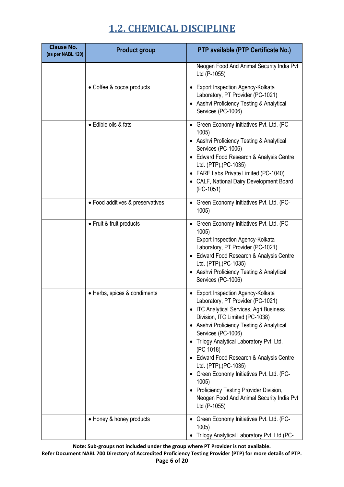| <b>Clause No.</b><br>(as per NABL 120) | <b>Product group</b>             | PTP available (PTP Certificate No.)                                                                                                                                                                                                                                                                                                                                                                                                                                                                                |
|----------------------------------------|----------------------------------|--------------------------------------------------------------------------------------------------------------------------------------------------------------------------------------------------------------------------------------------------------------------------------------------------------------------------------------------------------------------------------------------------------------------------------------------------------------------------------------------------------------------|
|                                        |                                  | Neogen Food And Animal Security India Pvt<br>Ltd (P-1055)                                                                                                                                                                                                                                                                                                                                                                                                                                                          |
|                                        | • Coffee & cocoa products        | • Export Inspection Agency-Kolkata<br>Laboratory, PT Provider (PC-1021)<br>Aashvi Proficiency Testing & Analytical<br>Services (PC-1006)                                                                                                                                                                                                                                                                                                                                                                           |
|                                        | • Edible oils & fats             | • Green Economy Initiatives Pvt. Ltd. (PC-<br>1005)<br>Aashvi Proficiency Testing & Analytical<br>Services (PC-1006)<br>• Edward Food Research & Analysis Centre<br>Ltd. (PTP), (PC-1035)<br>• FARE Labs Private Limited (PC-1040)<br>• CALF, National Dairy Development Board<br>(PC-1051)                                                                                                                                                                                                                        |
|                                        | • Food additives & preservatives | • Green Economy Initiatives Pvt. Ltd. (PC-<br>1005)                                                                                                                                                                                                                                                                                                                                                                                                                                                                |
|                                        | • Fruit & fruit products         | • Green Economy Initiatives Pvt. Ltd. (PC-<br>1005)<br>Export Inspection Agency-Kolkata<br>Laboratory, PT Provider (PC-1021)<br>• Edward Food Research & Analysis Centre<br>Ltd. (PTP), (PC-1035)<br>• Aashvi Proficiency Testing & Analytical<br>Services (PC-1006)                                                                                                                                                                                                                                               |
|                                        | • Herbs, spices & condiments     | • Export Inspection Agency-Kolkata<br>Laboratory, PT Provider (PC-1021)<br>• ITC Analytical Services, Agri Business<br>Division, ITC Limited (PC-1038)<br>• Aashvi Proficiency Testing & Analytical<br>Services (PC-1006)<br>Trilogy Analytical Laboratory Pvt. Ltd.<br>(PC-1018)<br>• Edward Food Research & Analysis Centre<br>Ltd. (PTP), (PC-1035)<br>Green Economy Initiatives Pvt. Ltd. (PC-<br>1005)<br>Proficiency Testing Provider Division,<br>Neogen Food And Animal Security India Pvt<br>Ltd (P-1055) |
|                                        | • Honey & honey products         | Green Economy Initiatives Pvt. Ltd. (PC-<br>1005)<br>Trilogy Analytical Laboratory Pvt. Ltd.(PC-                                                                                                                                                                                                                                                                                                                                                                                                                   |

**Note: Sub-groups not included under the group where PT Provider is not available.**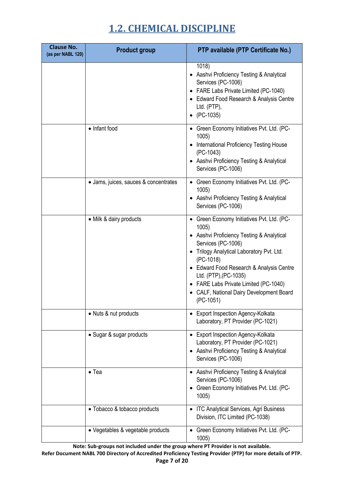| <b>Clause No.</b><br>(as per NABL 120) | <b>Product group</b>                  | PTP available (PTP Certificate No.)                                                                                                                                                                                                                                                                                                               |
|----------------------------------------|---------------------------------------|---------------------------------------------------------------------------------------------------------------------------------------------------------------------------------------------------------------------------------------------------------------------------------------------------------------------------------------------------|
|                                        |                                       | 1018)<br>Aashvi Proficiency Testing & Analytical<br>Services (PC-1006)<br>• FARE Labs Private Limited (PC-1040)<br>• Edward Food Research & Analysis Centre<br>Ltd. (PTP),<br>(PC-1035)                                                                                                                                                           |
|                                        | • Infant food                         | • Green Economy Initiatives Pvt. Ltd. (PC-<br>1005<br>International Proficiency Testing House<br>(PC-1043)<br>• Aashvi Proficiency Testing & Analytical<br>Services (PC-1006)                                                                                                                                                                     |
|                                        | • Jams, juices, sauces & concentrates | • Green Economy Initiatives Pvt. Ltd. (PC-<br>1005)<br>Aashvi Proficiency Testing & Analytical<br>Services (PC-1006)                                                                                                                                                                                                                              |
|                                        | • Milk & dairy products               | • Green Economy Initiatives Pvt. Ltd. (PC-<br>1005)<br>• Aashvi Proficiency Testing & Analytical<br>Services (PC-1006)<br>Trilogy Analytical Laboratory Pvt. Ltd.<br>(PC-1018)<br>• Edward Food Research & Analysis Centre<br>Ltd. (PTP), (PC-1035)<br>FARE Labs Private Limited (PC-1040)<br>CALF, National Dairy Development Board<br>(PC-1051) |
|                                        | • Nuts & nut products                 | <b>Export Inspection Agency-Kolkata</b><br>Laboratory, PT Provider (PC-1021)                                                                                                                                                                                                                                                                      |
|                                        | • Sugar & sugar products              | <b>Export Inspection Agency-Kolkata</b><br>Laboratory, PT Provider (PC-1021)<br>• Aashvi Proficiency Testing & Analytical<br>Services (PC-1006)                                                                                                                                                                                                   |
|                                        | $\bullet$ Tea                         | • Aashvi Proficiency Testing & Analytical<br>Services (PC-1006)<br>• Green Economy Initiatives Pvt. Ltd. (PC-<br>1005)                                                                                                                                                                                                                            |
|                                        | • Tobacco & tobacco products          | • ITC Analytical Services, Agri Business<br>Division, ITC Limited (PC-1038)                                                                                                                                                                                                                                                                       |
|                                        | • Vegetables & vegetable products     | • Green Economy Initiatives Pvt. Ltd. (PC-<br>1005)                                                                                                                                                                                                                                                                                               |

**Note: Sub-groups not included under the group where PT Provider is not available.**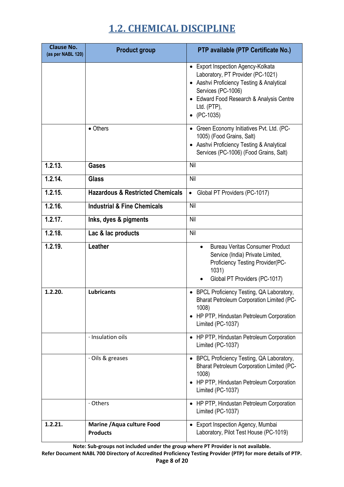| <b>Clause No.</b><br>(as per NABL 120) | <b>Product group</b>                          | PTP available (PTP Certificate No.)                                                                                                                                                                                          |
|----------------------------------------|-----------------------------------------------|------------------------------------------------------------------------------------------------------------------------------------------------------------------------------------------------------------------------------|
|                                        |                                               | • Export Inspection Agency-Kolkata<br>Laboratory, PT Provider (PC-1021)<br>• Aashvi Proficiency Testing & Analytical<br>Services (PC-1006)<br>• Edward Food Research & Analysis Centre<br>Ltd. (PTP),<br>$\bullet$ (PC-1035) |
|                                        | • Others                                      | • Green Economy Initiatives Pvt. Ltd. (PC-<br>1005) (Food Grains, Salt)<br>Aashvi Proficiency Testing & Analytical<br>Services (PC-1006) (Food Grains, Salt)                                                                 |
| 1.2.13.                                | <b>Gases</b>                                  | Nil                                                                                                                                                                                                                          |
| 1.2.14.                                | <b>Glass</b>                                  | Nil                                                                                                                                                                                                                          |
| 1.2.15.                                | <b>Hazardous &amp; Restricted Chemicals</b>   | Global PT Providers (PC-1017)                                                                                                                                                                                                |
| 1.2.16.                                | <b>Industrial &amp; Fine Chemicals</b>        | Nil                                                                                                                                                                                                                          |
| 1.2.17.                                | Inks, dyes & pigments                         | Nil                                                                                                                                                                                                                          |
| 1.2.18.                                | Lac & lac products                            | Nil                                                                                                                                                                                                                          |
| 1.2.19.                                | Leather                                       | <b>Bureau Veritas Consumer Product</b><br>Service (India) Private Limited,<br>Proficiency Testing Provider(PC-<br>1031)<br>Global PT Providers (PC-1017)                                                                     |
| 1.2.20.                                | <b>Lubricants</b>                             | • BPCL Proficiency Testing, QA Laboratory,<br><b>Bharat Petroleum Corporation Limited (PC-</b><br>1008)<br>• HP PTP, Hindustan Petroleum Corporation<br>Limited (PC-1037)                                                    |
|                                        | · Insulation oils                             | • HP PTP, Hindustan Petroleum Corporation<br>Limited (PC-1037)                                                                                                                                                               |
|                                        | · Oils & greases                              | • BPCL Proficiency Testing, QA Laboratory,<br><b>Bharat Petroleum Corporation Limited (PC-</b><br>1008)<br>• HP PTP, Hindustan Petroleum Corporation<br>Limited (PC-1037)                                                    |
|                                        | · Others                                      | • HP PTP, Hindustan Petroleum Corporation<br>Limited (PC-1037)                                                                                                                                                               |
| 1.2.21.                                | Marine / Aqua culture Food<br><b>Products</b> | Export Inspection Agency, Mumbai<br>Laboratory, Pilot Test House (PC-1019)                                                                                                                                                   |

**Note: Sub-groups not included under the group where PT Provider is not available.**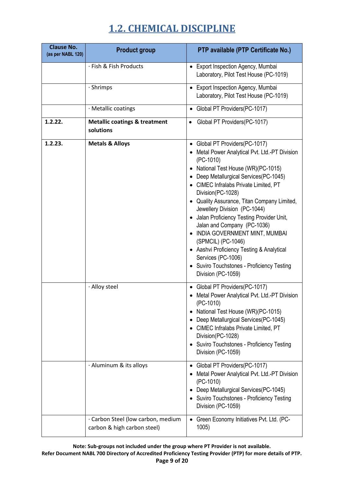| <b>Clause No.</b><br>(as per NABL 120) | <b>Product group</b>                                  | PTP available (PTP Certificate No.)                                                                                                                                                                                                                                                                                                                                                                                                                                                                                                                                                            |
|----------------------------------------|-------------------------------------------------------|------------------------------------------------------------------------------------------------------------------------------------------------------------------------------------------------------------------------------------------------------------------------------------------------------------------------------------------------------------------------------------------------------------------------------------------------------------------------------------------------------------------------------------------------------------------------------------------------|
|                                        | · Fish & Fish Products                                | • Export Inspection Agency, Mumbai<br>Laboratory, Pilot Test House (PC-1019)                                                                                                                                                                                                                                                                                                                                                                                                                                                                                                                   |
|                                        | · Shrimps                                             | Export Inspection Agency, Mumbai<br>$\bullet$<br>Laboratory, Pilot Test House (PC-1019)                                                                                                                                                                                                                                                                                                                                                                                                                                                                                                        |
|                                        | · Metallic coatings                                   | Global PT Providers(PC-1017)<br>$\bullet$                                                                                                                                                                                                                                                                                                                                                                                                                                                                                                                                                      |
| 1.2.22.                                | <b>Metallic coatings &amp; treatment</b><br>solutions | Global PT Providers(PC-1017)<br>$\bullet$                                                                                                                                                                                                                                                                                                                                                                                                                                                                                                                                                      |
| 1.2.23.                                | <b>Metals &amp; Alloys</b>                            | Global PT Providers(PC-1017)<br>Metal Power Analytical Pvt. Ltd.-PT Division<br>$(PC-1010)$<br>National Test House (WR)(PC-1015)<br>Deep Metallurgical Services(PC-1045)<br>• CIMEC Infralabs Private Limited, PT<br>Division(PC-1028)<br>• Quality Assurance, Titan Company Limited,<br>Jewellery Division (PC-1044)<br>Jalan Proficiency Testing Provider Unit,<br>Jalan and Company (PC-1036)<br>INDIA GOVERNMENT MINT, MUMBAI<br>(SPMCIL) (PC-1046)<br>• Aashvi Proficiency Testing & Analytical<br>Services (PC-1006)<br>• Suviro Touchstones - Proficiency Testing<br>Division (PC-1059) |
|                                        | · Alloy steel<br>· Aluminum & its alloys              | • Global PT Providers(PC-1017)<br>Metal Power Analytical Pvt. Ltd.-PT Division<br>(PC-1010)<br>National Test House (WR)(PC-1015)<br>Deep Metallurgical Services(PC-1045)<br>CIMEC Infralabs Private Limited, PT<br>Division(PC-1028)<br>• Suviro Touchstones - Proficiency Testing<br>Division (PC-1059)<br>Global PT Providers(PC-1017)<br>$\bullet$                                                                                                                                                                                                                                          |
|                                        | · Carbon Steel (low carbon, medium                    | Metal Power Analytical Pvt. Ltd.-PT Division<br>(PC-1010)<br>Deep Metallurgical Services(PC-1045)<br>Suviro Touchstones - Proficiency Testing<br>Division (PC-1059)<br>Green Economy Initiatives Pvt. Ltd. (PC-<br>$\bullet$                                                                                                                                                                                                                                                                                                                                                                   |
|                                        | carbon & high carbon steel)                           | 1005)                                                                                                                                                                                                                                                                                                                                                                                                                                                                                                                                                                                          |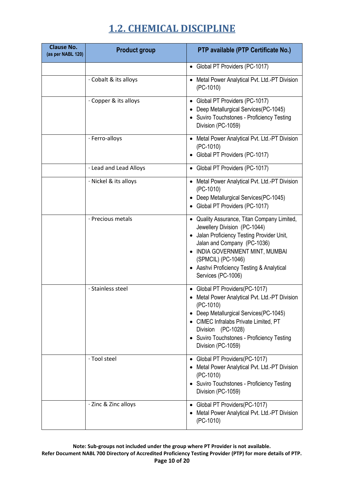| <b>Clause No.</b><br>(as per NABL 120) | <b>Product group</b>   | PTP available (PTP Certificate No.)                                                                                                                                                                                                                                                |
|----------------------------------------|------------------------|------------------------------------------------------------------------------------------------------------------------------------------------------------------------------------------------------------------------------------------------------------------------------------|
|                                        |                        | • Global PT Providers (PC-1017)                                                                                                                                                                                                                                                    |
|                                        | Cobalt & its alloys    | • Metal Power Analytical Pvt. Ltd.-PT Division<br>$(PC-1010)$                                                                                                                                                                                                                      |
|                                        | Copper & its alloys    | • Global PT Providers (PC-1017)<br>Deep Metallurgical Services(PC-1045)<br>• Suviro Touchstones - Proficiency Testing<br>Division (PC-1059)                                                                                                                                        |
|                                        | · Ferro-alloys         | • Metal Power Analytical Pvt. Ltd.-PT Division<br>(PC-1010)<br>• Global PT Providers (PC-1017)                                                                                                                                                                                     |
|                                        | · Lead and Lead Alloys | • Global PT Providers (PC-1017)                                                                                                                                                                                                                                                    |
|                                        | · Nickel & its alloys  | • Metal Power Analytical Pvt. Ltd.-PT Division<br>(PC-1010)<br>• Deep Metallurgical Services(PC-1045)<br>Global PT Providers (PC-1017)                                                                                                                                             |
|                                        | · Precious metals      | • Quality Assurance, Titan Company Limited,<br>Jewellery Division (PC-1044)<br>• Jalan Proficiency Testing Provider Unit,<br>Jalan and Company (PC-1036)<br>INDIA GOVERNMENT MINT, MUMBAI<br>(SPMCIL) (PC-1046)<br>• Aashvi Proficiency Testing & Analytical<br>Services (PC-1006) |
|                                        | · Stainless steel      | Global PT Providers(PC-1017)<br>Metal Power Analytical Pvt. Ltd.-PT Division<br>(PC-1010)<br>Deep Metallurgical Services(PC-1045)<br>CIMEC Infralabs Private Limited, PT<br>Division (PC-1028)<br>Suviro Touchstones - Proficiency Testing<br>Division (PC-1059)                   |
|                                        | · Tool steel           | Global PT Providers(PC-1017)<br>Metal Power Analytical Pvt. Ltd.-PT Division<br>(PC-1010)<br>Suviro Touchstones - Proficiency Testing<br>Division (PC-1059)                                                                                                                        |
|                                        | · Zinc & Zinc alloys   | Global PT Providers(PC-1017)<br>Metal Power Analytical Pvt. Ltd.-PT Division<br>(PC-1010)                                                                                                                                                                                          |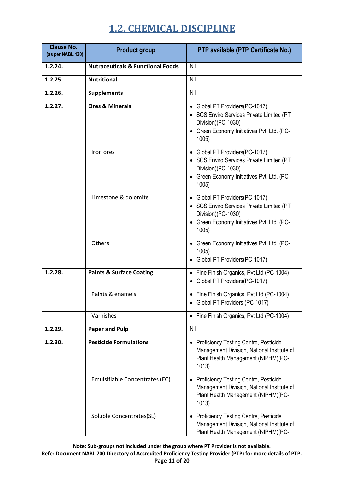| <b>Clause No.</b><br>(as per NABL 120) | <b>Product group</b>                         | PTP available (PTP Certificate No.)                                                                                                                      |
|----------------------------------------|----------------------------------------------|----------------------------------------------------------------------------------------------------------------------------------------------------------|
| 1.2.24.                                | <b>Nutraceuticals &amp; Functional Foods</b> | Nil                                                                                                                                                      |
| 1.2.25.                                | <b>Nutritional</b>                           | Nil                                                                                                                                                      |
| 1.2.26.                                | <b>Supplements</b>                           | Nil                                                                                                                                                      |
| 1.2.27.                                | <b>Ores &amp; Minerals</b>                   | • Global PT Providers(PC-1017)<br>• SCS Enviro Services Private Limited (PT<br>Division)(PC-1030)<br>• Green Economy Initiatives Pvt. Ltd. (PC-<br>1005) |
|                                        | · Iron ores                                  | • Global PT Providers(PC-1017)<br>• SCS Enviro Services Private Limited (PT<br>Division)(PC-1030)<br>• Green Economy Initiatives Pvt. Ltd. (PC-<br>1005) |
|                                        | · Limestone & dolomite                       | • Global PT Providers(PC-1017)<br>• SCS Enviro Services Private Limited (PT<br>Division)(PC-1030)<br>• Green Economy Initiatives Pvt. Ltd. (PC-<br>1005) |
|                                        | · Others                                     | • Green Economy Initiatives Pvt. Ltd. (PC-<br>1005)<br>Global PT Providers(PC-1017)                                                                      |
| 1.2.28.                                | <b>Paints &amp; Surface Coating</b>          | • Fine Finish Organics, Pvt Ltd (PC-1004)<br>Global PT Providers(PC-1017)<br>٠                                                                           |
|                                        | · Paints & enamels                           | • Fine Finish Organics, Pvt Ltd (PC-1004)<br>Global PT Providers (PC-1017)                                                                               |
|                                        | · Varnishes                                  | • Fine Finish Organics, Pvt Ltd (PC-1004)                                                                                                                |
| 1.2.29.                                | <b>Paper and Pulp</b>                        | Nil                                                                                                                                                      |
| 1.2.30.                                | <b>Pesticide Formulations</b>                | • Proficiency Testing Centre, Pesticide<br>Management Division, National Institute of<br>Plant Health Management (NIPHM)(PC-<br>1013)                    |
|                                        | · Emulsifiable Concentrates (EC)             | • Proficiency Testing Centre, Pesticide<br>Management Division, National Institute of<br>Plant Health Management (NIPHM)(PC-<br>1013)                    |
|                                        | · Soluble Concentrates(SL)                   | Proficiency Testing Centre, Pesticide<br>$\bullet$<br>Management Division, National Institute of<br>Plant Health Management (NIPHM)(PC-                  |

**Note: Sub-groups not included under the group where PT Provider is not available. Refer Document NABL 700 Directory of Accredited Proficiency Testing Provider (PTP) for more details of PTP. Page 11 of 20**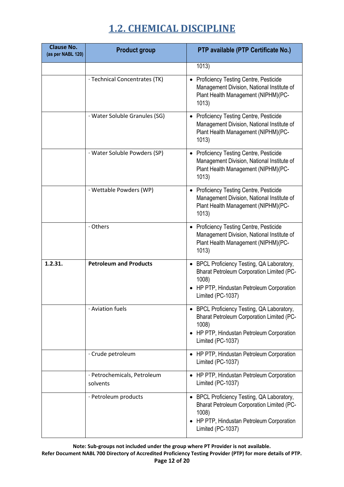| <b>Clause No.</b><br>(as per NABL 120) | <b>Product group</b>                    | PTP available (PTP Certificate No.)                                                                                                                                     |
|----------------------------------------|-----------------------------------------|-------------------------------------------------------------------------------------------------------------------------------------------------------------------------|
|                                        |                                         | 1013)                                                                                                                                                                   |
|                                        | · Technical Concentrates (TK)           | Proficiency Testing Centre, Pesticide<br>$\bullet$<br>Management Division, National Institute of<br>Plant Health Management (NIPHM)(PC-<br>1013)                        |
|                                        | · Water Soluble Granules (SG)           | • Proficiency Testing Centre, Pesticide<br>Management Division, National Institute of<br>Plant Health Management (NIPHM)(PC-<br>1013)                                   |
|                                        | · Water Soluble Powders (SP)            | • Proficiency Testing Centre, Pesticide<br>Management Division, National Institute of<br>Plant Health Management (NIPHM)(PC-<br>1013)                                   |
|                                        | · Wettable Powders (WP)                 | Proficiency Testing Centre, Pesticide<br>$\bullet$<br>Management Division, National Institute of<br>Plant Health Management (NIPHM)(PC-<br>1013)                        |
|                                        | · Others                                | • Proficiency Testing Centre, Pesticide<br>Management Division, National Institute of<br>Plant Health Management (NIPHM)(PC-<br>1013)                                   |
| 1.2.31.                                | <b>Petroleum and Products</b>           | • BPCL Proficiency Testing, QA Laboratory,<br><b>Bharat Petroleum Corporation Limited (PC-</b><br>1008)<br>HP PTP, Hindustan Petroleum Corporation<br>Limited (PC-1037) |
|                                        | · Aviation fuels                        | • BPCL Proficiency Testing, QA Laboratory,<br><b>Bharat Petroleum Corporation Limited (PC-</b><br>1008)<br>HP PTP, Hindustan Petroleum Corporation<br>Limited (PC-1037) |
|                                        | · Crude petroleum                       | • HP PTP, Hindustan Petroleum Corporation<br>Limited (PC-1037)                                                                                                          |
|                                        | · Petrochemicals, Petroleum<br>solvents | • HP PTP, Hindustan Petroleum Corporation<br>Limited (PC-1037)                                                                                                          |
|                                        | · Petroleum products                    | BPCL Proficiency Testing, QA Laboratory,<br><b>Bharat Petroleum Corporation Limited (PC-</b><br>1008)<br>HP PTP, Hindustan Petroleum Corporation<br>Limited (PC-1037)   |

**Note: Sub-groups not included under the group where PT Provider is not available. Refer Document NABL 700 Directory of Accredited Proficiency Testing Provider (PTP) for more details of PTP. Page 12 of 20**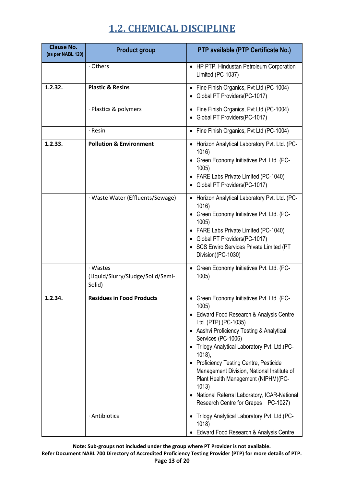| <b>Clause No.</b><br>(as per NABL 120) | <b>Product group</b>                                    | PTP available (PTP Certificate No.)                                                                                                                                                                                                                                                                                                                                                                                                                                                      |
|----------------------------------------|---------------------------------------------------------|------------------------------------------------------------------------------------------------------------------------------------------------------------------------------------------------------------------------------------------------------------------------------------------------------------------------------------------------------------------------------------------------------------------------------------------------------------------------------------------|
|                                        | · Others                                                | • HP PTP, Hindustan Petroleum Corporation<br>Limited (PC-1037)                                                                                                                                                                                                                                                                                                                                                                                                                           |
| 1.2.32.                                | <b>Plastic &amp; Resins</b>                             | • Fine Finish Organics, Pvt Ltd (PC-1004)<br>Global PT Providers(PC-1017)                                                                                                                                                                                                                                                                                                                                                                                                                |
|                                        | · Plastics & polymers                                   | • Fine Finish Organics, Pvt Ltd (PC-1004)<br>Global PT Providers(PC-1017)                                                                                                                                                                                                                                                                                                                                                                                                                |
|                                        | · Resin                                                 | Fine Finish Organics, Pvt Ltd (PC-1004)                                                                                                                                                                                                                                                                                                                                                                                                                                                  |
| 1.2.33.                                | <b>Pollution &amp; Environment</b>                      | • Horizon Analytical Laboratory Pvt. Ltd. (PC-<br>1016)<br>• Green Economy Initiatives Pvt. Ltd. (PC-<br>1005<br>• FARE Labs Private Limited (PC-1040)<br>• Global PT Providers(PC-1017)                                                                                                                                                                                                                                                                                                 |
|                                        | · Waste Water (Effluents/Sewage)                        | • Horizon Analytical Laboratory Pvt. Ltd. (PC-<br>1016)<br>• Green Economy Initiatives Pvt. Ltd. (PC-<br>1005)<br>• FARE Labs Private Limited (PC-1040)<br>• Global PT Providers(PC-1017)<br>• SCS Enviro Services Private Limited (PT<br>Division)(PC-1030)                                                                                                                                                                                                                             |
|                                        | · Wastes<br>(Liquid/Slurry/Sludge/Solid/Semi-<br>Solid) | • Green Economy Initiatives Pvt. Ltd. (PC-<br>1005)                                                                                                                                                                                                                                                                                                                                                                                                                                      |
| 1.2.34.                                | <b>Residues in Food Products</b>                        | • Green Economy Initiatives Pvt. Ltd. (PC-<br>1005)<br>Edward Food Research & Analysis Centre<br>Ltd. (PTP), (PC-1035)<br>• Aashvi Proficiency Testing & Analytical<br>Services (PC-1006)<br>• Trilogy Analytical Laboratory Pvt. Ltd.(PC-<br>1018),<br><b>Proficiency Testing Centre, Pesticide</b><br>Management Division, National Institute of<br>Plant Health Management (NIPHM)(PC-<br>1013)<br>National Referral Laboratory, ICAR-National<br>Research Centre for Grapes PC-1027) |
|                                        | · Antibiotics                                           | • Trilogy Analytical Laboratory Pvt. Ltd.(PC-<br>1018)<br>Edward Food Research & Analysis Centre                                                                                                                                                                                                                                                                                                                                                                                         |

**Note: Sub-groups not included under the group where PT Provider is not available. Refer Document NABL 700 Directory of Accredited Proficiency Testing Provider (PTP) for more details of PTP. Page 13 of 20**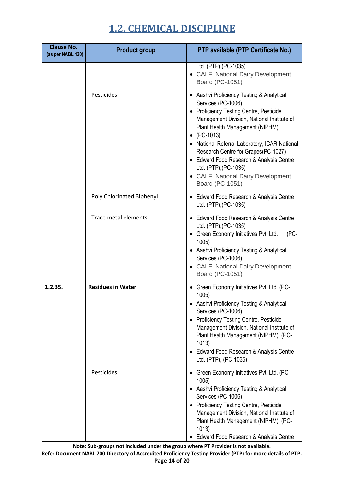| <b>Clause No.</b><br>(as per NABL 120) | <b>Product group</b>        | PTP available (PTP Certificate No.)                                                                                                                                                                                                                                                                                                                                                                                          |
|----------------------------------------|-----------------------------|------------------------------------------------------------------------------------------------------------------------------------------------------------------------------------------------------------------------------------------------------------------------------------------------------------------------------------------------------------------------------------------------------------------------------|
|                                        |                             | Ltd. (PTP), (PC-1035)<br>CALF, National Dairy Development<br>Board (PC-1051)                                                                                                                                                                                                                                                                                                                                                 |
|                                        | · Pesticides                | • Aashvi Proficiency Testing & Analytical<br>Services (PC-1006)<br>• Proficiency Testing Centre, Pesticide<br>Management Division, National Institute of<br>Plant Health Management (NIPHM)<br>(PC-1013)<br>National Referral Laboratory, ICAR-National<br>Research Centre for Grapes(PC-1027)<br>• Edward Food Research & Analysis Centre<br>Ltd. (PTP), (PC-1035)<br>• CALF, National Dairy Development<br>Board (PC-1051) |
|                                        | · Poly Chlorinated Biphenyl | • Edward Food Research & Analysis Centre<br>Ltd. (PTP), (PC-1035)                                                                                                                                                                                                                                                                                                                                                            |
|                                        | · Trace metal elements      | • Edward Food Research & Analysis Centre<br>Ltd. (PTP), (PC-1035)<br>Green Economy Initiatives Pvt. Ltd.<br>(PC-<br>1005)<br>• Aashvi Proficiency Testing & Analytical<br>Services (PC-1006)<br>• CALF, National Dairy Development<br>Board (PC-1051)                                                                                                                                                                        |
| 1.2.35.                                | <b>Residues in Water</b>    | • Green Economy Initiatives Pvt. Ltd. (PC-<br>1005)<br>• Aashvi Proficiency Testing & Analytical<br>Services (PC-1006)<br>• Proficiency Testing Centre, Pesticide<br>Management Division, National Institute of<br>Plant Health Management (NIPHM) (PC-<br>1013)<br>• Edward Food Research & Analysis Centre<br>Ltd. (PTP), (PC-1035)                                                                                        |
|                                        | · Pesticides                | • Green Economy Initiatives Pvt. Ltd. (PC-<br>1005)<br>• Aashvi Proficiency Testing & Analytical<br>Services (PC-1006)<br>• Proficiency Testing Centre, Pesticide<br>Management Division, National Institute of<br>Plant Health Management (NIPHM) (PC-<br>1013)<br>Edward Food Research & Analysis Centre                                                                                                                   |

**Note: Sub-groups not included under the group where PT Provider is not available. Refer Document NABL 700 Directory of Accredited Proficiency Testing Provider (PTP) for more details of PTP. Page 14 of 20**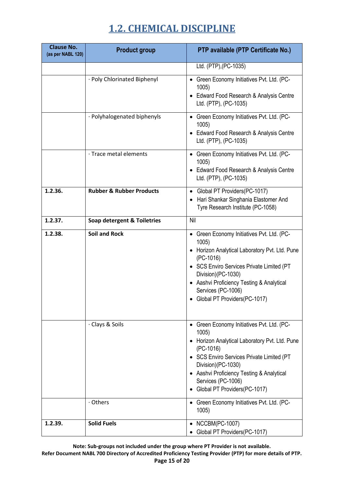| <b>Clause No.</b><br>(as per NABL 120) | <b>Product group</b>                   | PTP available (PTP Certificate No.)                                                                                                                                                                                                                                                                                                               |
|----------------------------------------|----------------------------------------|---------------------------------------------------------------------------------------------------------------------------------------------------------------------------------------------------------------------------------------------------------------------------------------------------------------------------------------------------|
|                                        |                                        | Ltd. (PTP), (PC-1035)                                                                                                                                                                                                                                                                                                                             |
|                                        | · Poly Chlorinated Biphenyl            | • Green Economy Initiatives Pvt. Ltd. (PC-<br>1005<br>Edward Food Research & Analysis Centre<br>Ltd. (PTP), (PC-1035)                                                                                                                                                                                                                             |
|                                        | · Polyhalogenated biphenyls            | Green Economy Initiatives Pvt. Ltd. (PC-<br>$\bullet$<br>1005<br>Edward Food Research & Analysis Centre<br>Ltd. (PTP), (PC-1035)                                                                                                                                                                                                                  |
|                                        | · Trace metal elements                 | • Green Economy Initiatives Pvt. Ltd. (PC-<br>1005)<br>• Edward Food Research & Analysis Centre<br>Ltd. (PTP), (PC-1035)                                                                                                                                                                                                                          |
| 1.2.36.                                | <b>Rubber &amp; Rubber Products</b>    | • Global PT Providers(PC-1017)<br>Hari Shankar Singhania Elastomer And<br>Tyre Research Institute (PC-1058)                                                                                                                                                                                                                                       |
| 1.2.37.                                | <b>Soap detergent &amp; Toiletries</b> | Nil                                                                                                                                                                                                                                                                                                                                               |
| 1.2.38.                                | <b>Soil and Rock</b>                   | • Green Economy Initiatives Pvt. Ltd. (PC-<br>1005)<br>• Horizon Analytical Laboratory Pvt. Ltd. Pune<br>$(PC-1016)$<br>• SCS Enviro Services Private Limited (PT<br>Division)(PC-1030)<br>• Aashvi Proficiency Testing & Analytical<br>Services (PC-1006)<br>Global PT Providers(PC-1017)                                                        |
|                                        | · Clays & Soils<br>· Others            | Green Economy Initiatives Pvt. Ltd. (PC-<br>$\bullet$<br>1005)<br>Horizon Analytical Laboratory Pvt. Ltd. Pune<br>$(PC-1016)$<br>• SCS Enviro Services Private Limited (PT<br>Division)(PC-1030)<br>• Aashvi Proficiency Testing & Analytical<br>Services (PC-1006)<br>Global PT Providers(PC-1017)<br>• Green Economy Initiatives Pvt. Ltd. (PC- |
|                                        |                                        | 1005)                                                                                                                                                                                                                                                                                                                                             |
| 1.2.39.                                | <b>Solid Fuels</b>                     | <b>NCCBM(PC-1007)</b><br>Global PT Providers(PC-1017)                                                                                                                                                                                                                                                                                             |

**Note: Sub-groups not included under the group where PT Provider is not available.**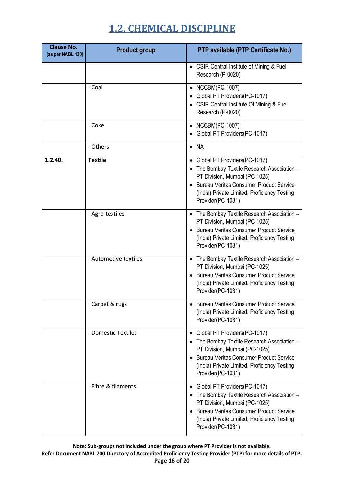| <b>Clause No.</b><br>(as per NABL 120) | <b>Product group</b>  | PTP available (PTP Certificate No.)                                                                                                                                                                                                    |
|----------------------------------------|-----------------------|----------------------------------------------------------------------------------------------------------------------------------------------------------------------------------------------------------------------------------------|
|                                        |                       | • CSIR-Central Institute of Mining & Fuel<br>Research (P-0020)                                                                                                                                                                         |
|                                        | · Coal                | • NCCBM(PC-1007)<br>Global PT Providers(PC-1017)<br>• CSIR-Central Institute Of Mining & Fuel<br>Research (P-0020)                                                                                                                     |
|                                        | $\cdot$ Coke          | • NCCBM(PC-1007)<br>Global PT Providers(PC-1017)                                                                                                                                                                                       |
|                                        | · Others              | $\bullet$ NA                                                                                                                                                                                                                           |
| 1.2.40.                                | <b>Textile</b>        | • Global PT Providers(PC-1017)<br>The Bombay Textile Research Association -<br>PT Division, Mumbai (PC-1025)<br><b>Bureau Veritas Consumer Product Service</b><br>(India) Private Limited, Proficiency Testing<br>Provider(PC-1031)    |
|                                        | · Agro-textiles       | The Bombay Textile Research Association -<br>PT Division, Mumbai (PC-1025)<br><b>Bureau Veritas Consumer Product Service</b><br>(India) Private Limited, Proficiency Testing<br>Provider(PC-1031)                                      |
|                                        | · Automotive textiles | • The Bombay Textile Research Association -<br>PT Division, Mumbai (PC-1025)<br><b>Bureau Veritas Consumer Product Service</b><br>(India) Private Limited, Proficiency Testing<br>Provider(PC-1031)                                    |
|                                        | · Carpet & rugs       | Bureau Veritas Consumer Product Service<br>(India) Private Limited, Proficiency Testing<br>Provider(PC-1031)                                                                                                                           |
|                                        | · Domestic Textiles   | • Global PT Providers(PC-1017)<br>The Bombay Textile Research Association -<br>PT Division, Mumbai (PC-1025)<br><b>Bureau Veritas Consumer Product Service</b><br>(India) Private Limited, Proficiency Testing<br>Provider(PC-1031)    |
|                                        | · Fibre & filaments   | Global PT Providers(PC-1017)<br>٠<br>The Bombay Textile Research Association -<br>PT Division, Mumbai (PC-1025)<br><b>Bureau Veritas Consumer Product Service</b><br>(India) Private Limited, Proficiency Testing<br>Provider(PC-1031) |

**Note: Sub-groups not included under the group where PT Provider is not available. Refer Document NABL 700 Directory of Accredited Proficiency Testing Provider (PTP) for more details of PTP. Page 16 of 20**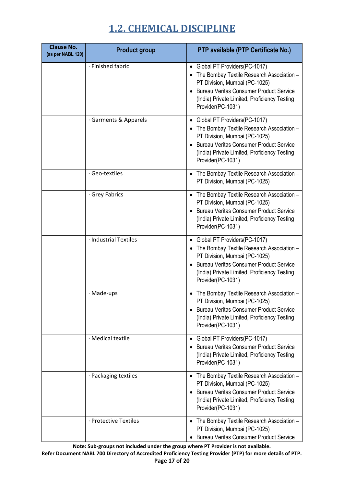| <b>Clause No.</b><br>(as per NABL 120) | <b>Product group</b>  | PTP available (PTP Certificate No.)                                                                                                                                                                                                            |
|----------------------------------------|-----------------------|------------------------------------------------------------------------------------------------------------------------------------------------------------------------------------------------------------------------------------------------|
|                                        | · Finished fabric     | Global PT Providers(PC-1017)<br>$\bullet$<br>The Bombay Textile Research Association -<br>PT Division, Mumbai (PC-1025)<br><b>Bureau Veritas Consumer Product Service</b><br>(India) Private Limited, Proficiency Testing<br>Provider(PC-1031) |
|                                        | · Garments & Apparels | Global PT Providers(PC-1017)<br>The Bombay Textile Research Association -<br>PT Division, Mumbai (PC-1025)<br><b>Bureau Veritas Consumer Product Service</b><br>(India) Private Limited, Proficiency Testing<br>Provider(PC-1031)              |
|                                        | · Geo-textiles        | • The Bombay Textile Research Association -<br>PT Division, Mumbai (PC-1025)                                                                                                                                                                   |
|                                        | · Grey Fabrics        | • The Bombay Textile Research Association -<br>PT Division, Mumbai (PC-1025)<br><b>Bureau Veritas Consumer Product Service</b><br>(India) Private Limited, Proficiency Testing<br>Provider(PC-1031)                                            |
|                                        | · Industrial Textiles | • Global PT Providers(PC-1017)<br>The Bombay Textile Research Association -<br>PT Division, Mumbai (PC-1025)<br><b>Bureau Veritas Consumer Product Service</b><br>(India) Private Limited, Proficiency Testing<br>Provider(PC-1031)            |
|                                        | · Made-ups            | The Bombay Textile Research Association -<br>PT Division, Mumbai (PC-1025)<br><b>Bureau Veritas Consumer Product Service</b><br>(India) Private Limited, Proficiency Testing<br>Provider(PC-1031)                                              |
|                                        | · Medical textile     | Global PT Providers(PC-1017)<br><b>Bureau Veritas Consumer Product Service</b><br>(India) Private Limited, Proficiency Testing<br>Provider(PC-1031)                                                                                            |
|                                        | · Packaging textiles  | • The Bombay Textile Research Association -<br>PT Division, Mumbai (PC-1025)<br><b>Bureau Veritas Consumer Product Service</b><br>(India) Private Limited, Proficiency Testing<br>Provider(PC-1031)                                            |
|                                        | · Protective Textiles | • The Bombay Textile Research Association -<br>PT Division, Mumbai (PC-1025)<br><b>Bureau Veritas Consumer Product Service</b>                                                                                                                 |

**Note: Sub-groups not included under the group where PT Provider is not available.**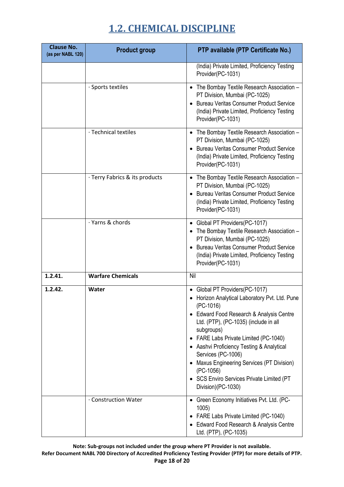| <b>Clause No.</b><br>(as per NABL 120) | <b>Product group</b>           | PTP available (PTP Certificate No.)                                                                                                                                                                                                                                                                                                                                                                                                  |
|----------------------------------------|--------------------------------|--------------------------------------------------------------------------------------------------------------------------------------------------------------------------------------------------------------------------------------------------------------------------------------------------------------------------------------------------------------------------------------------------------------------------------------|
|                                        |                                | (India) Private Limited, Proficiency Testing<br>Provider(PC-1031)                                                                                                                                                                                                                                                                                                                                                                    |
|                                        | · Sports textiles              | The Bombay Textile Research Association -<br>PT Division, Mumbai (PC-1025)<br><b>Bureau Veritas Consumer Product Service</b><br>(India) Private Limited, Proficiency Testing<br>Provider(PC-1031)                                                                                                                                                                                                                                    |
|                                        | · Technical textiles           | • The Bombay Textile Research Association -<br>PT Division, Mumbai (PC-1025)<br><b>Bureau Veritas Consumer Product Service</b><br>(India) Private Limited, Proficiency Testing<br>Provider(PC-1031)                                                                                                                                                                                                                                  |
|                                        | · Terry Fabrics & its products | • The Bombay Textile Research Association -<br>PT Division, Mumbai (PC-1025)<br><b>Bureau Veritas Consumer Product Service</b><br>(India) Private Limited, Proficiency Testing<br>Provider(PC-1031)                                                                                                                                                                                                                                  |
|                                        | · Yarns & chords               | Global PT Providers(PC-1017)<br>$\bullet$<br>The Bombay Textile Research Association -<br>PT Division, Mumbai (PC-1025)<br><b>Bureau Veritas Consumer Product Service</b><br>(India) Private Limited, Proficiency Testing<br>Provider(PC-1031)                                                                                                                                                                                       |
| 1.2.41.                                | <b>Warfare Chemicals</b>       | Nil                                                                                                                                                                                                                                                                                                                                                                                                                                  |
| 1.2.42.                                | Water                          | Global PT Providers(PC-1017)<br>Horizon Analytical Laboratory Pvt. Ltd. Pune<br>$(PC-1016)$<br>Edward Food Research & Analysis Centre<br>Ltd. (PTP), (PC-1035) (include in all<br>subgroups)<br>FARE Labs Private Limited (PC-1040)<br>• Aashvi Proficiency Testing & Analytical<br>Services (PC-1006)<br>Maxus Engineering Services (PT Division)<br>$(PC-1056)$<br>• SCS Enviro Services Private Limited (PT<br>Division)(PC-1030) |
|                                        | . Construction Water           | Green Economy Initiatives Pvt. Ltd. (PC-<br>1005<br>FARE Labs Private Limited (PC-1040)<br>Edward Food Research & Analysis Centre<br>Ltd. (PTP), (PC-1035)                                                                                                                                                                                                                                                                           |

**Note: Sub-groups not included under the group where PT Provider is not available. Refer Document NABL 700 Directory of Accredited Proficiency Testing Provider (PTP) for more details of PTP. Page 18 of 20**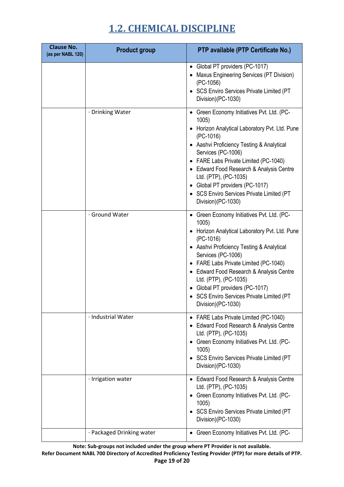| <b>Clause No.</b><br>(as per NABL 120) | <b>Product group</b>      | PTP available (PTP Certificate No.)                                                                                                                                                                                                                                                                                                                                                                      |
|----------------------------------------|---------------------------|----------------------------------------------------------------------------------------------------------------------------------------------------------------------------------------------------------------------------------------------------------------------------------------------------------------------------------------------------------------------------------------------------------|
|                                        |                           | • Global PT providers (PC-1017)<br>Maxus Engineering Services (PT Division)<br>$(PC-1056)$<br>• SCS Enviro Services Private Limited (PT<br>Division)(PC-1030)                                                                                                                                                                                                                                            |
|                                        | · Drinking Water          | • Green Economy Initiatives Pvt. Ltd. (PC-<br>1005<br>• Horizon Analytical Laboratory Pvt. Ltd. Pune<br>$(PC-1016)$<br>• Aashvi Proficiency Testing & Analytical<br>Services (PC-1006)<br>• FARE Labs Private Limited (PC-1040)<br>• Edward Food Research & Analysis Centre<br>Ltd. (PTP), (PC-1035)<br>Global PT providers (PC-1017)<br>• SCS Enviro Services Private Limited (PT<br>Division)(PC-1030) |
|                                        | · Ground Water            | • Green Economy Initiatives Pvt. Ltd. (PC-<br>1005)<br>Horizon Analytical Laboratory Pvt. Ltd. Pune<br>(PC-1016)<br>• Aashvi Proficiency Testing & Analytical<br>Services (PC-1006)<br>• FARE Labs Private Limited (PC-1040)<br>• Edward Food Research & Analysis Centre<br>Ltd. (PTP), (PC-1035)<br>• Global PT providers (PC-1017)<br>• SCS Enviro Services Private Limited (PT<br>Division)(PC-1030)  |
|                                        | · Industrial Water        | • FARE Labs Private Limited (PC-1040)<br>• Edward Food Research & Analysis Centre<br>Ltd. (PTP), (PC-1035)<br>Green Economy Initiatives Pvt. Ltd. (PC-<br>1005)<br>• SCS Enviro Services Private Limited (PT<br>Division)(PC-1030)                                                                                                                                                                       |
|                                        | · Irrigation water        | • Edward Food Research & Analysis Centre<br>Ltd. (PTP), (PC-1035)<br>• Green Economy Initiatives Pvt. Ltd. (PC-<br>1005)<br><b>SCS Enviro Services Private Limited (PT</b><br>Division)(PC-1030)                                                                                                                                                                                                         |
|                                        | · Packaged Drinking water | Green Economy Initiatives Pvt. Ltd. (PC-                                                                                                                                                                                                                                                                                                                                                                 |

**Note: Sub-groups not included under the group where PT Provider is not available.**